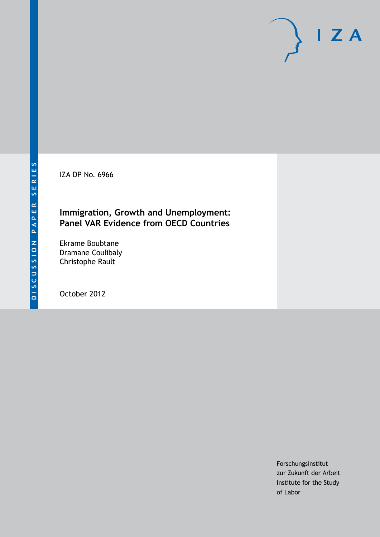IZA DP No. 6966

## **Immigration, Growth and Unemployment: Panel VAR Evidence from OECD Countries**

Ekrame Boubtane Dramane Coulibaly Christophe Rault

October 2012

Forschungsinstitut zur Zukunft der Arbeit Institute for the Study of Labor

 $I Z A$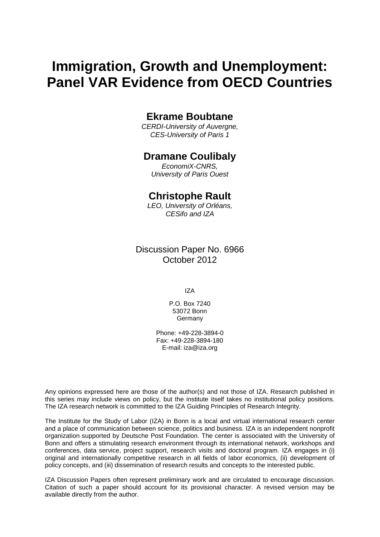# **Immigration, Growth and Unemployment: Panel VAR Evidence from OECD Countries**

#### **Ekrame Boubtane**

*CERDI-University of Auvergne, CES-University of Paris 1*

#### **Dramane Coulibaly**

*EconomiX-CNRS, University of Paris Ouest*

#### **Christophe Rault**

*LEO, University of Orléans, CESifo and IZA*

Discussion Paper No. 6966 October 2012

IZA

P.O. Box 7240 53072 Bonn Germany

Phone: +49-228-3894-0 Fax: +49-228-3894-180 E-mail: [iza@iza.org](mailto:iza@iza.org)

Any opinions expressed here are those of the author(s) and not those of IZA. Research published in this series may include views on policy, but the institute itself takes no institutional policy positions. The IZA research network is committed to the IZA Guiding Principles of Research Integrity.

The Institute for the Study of Labor (IZA) in Bonn is a local and virtual international research center and a place of communication between science, politics and business. IZA is an independent nonprofit organization supported by Deutsche Post Foundation. The center is associated with the University of Bonn and offers a stimulating research environment through its international network, workshops and conferences, data service, project support, research visits and doctoral program. IZA engages in (i) original and internationally competitive research in all fields of labor economics, (ii) development of policy concepts, and (iii) dissemination of research results and concepts to the interested public.

<span id="page-1-0"></span>IZA Discussion Papers often represent preliminary work and are circulated to encourage discussion. Citation of such a paper should account for its provisional character. A revised version may be available directly from the author.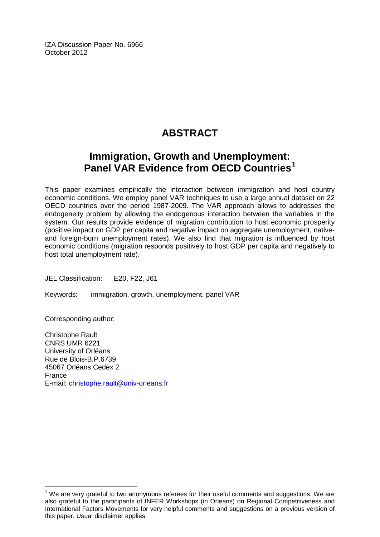IZA Discussion Paper No. 6966 October 2012

# **ABSTRACT**

## **Immigration, Growth and Unemployment: Panel VAR Evidence from OECD Countries[1](#page-1-0)**

This paper examines empirically the interaction between immigration and host country economic conditions. We employ panel VAR techniques to use a large annual dataset on 22 OECD countries over the period 1987-2009. The VAR approach allows to addresses the endogeneity problem by allowing the endogenous interaction between the variables in the system. Our results provide evidence of migration contribution to host economic prosperity (positive impact on GDP per capita and negative impact on aggregate unemployment, nativeand foreign-born unemployment rates). We also find that migration is influenced by host economic conditions (migration responds positively to host GDP per capita and negatively to host total unemployment rate).

JEL Classification: E20, F22, J61

Keywords: immigration, growth, unemployment, panel VAR

Corresponding author:

Christophe Rault CNRS UMR 6221 University of Orléans Rue de Blois-B.P.6739 45067 Orléans Cedex 2 France E-mail: [christophe.rault@univ-orleans.fr](mailto:christophe.rault@univ-orleans.fr)

 $1$  We are very grateful to two anonymous referees for their useful comments and suggestions. We are also grateful to the participants of INFER Workshops (in Orleans) on Regional Competitiveness and International Factors Movements for very helpful comments and suggestions on a previous version of this paper. Usual disclaimer applies.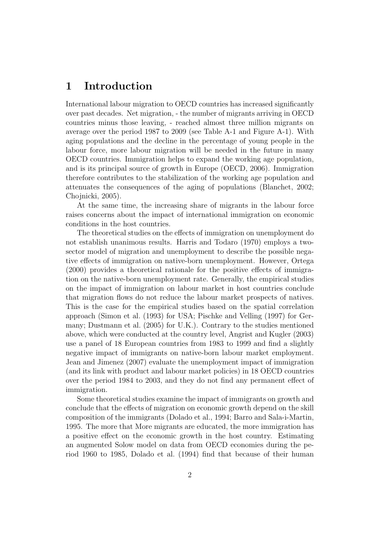## 1 Introduction

International labour migration to OECD countries has increased significantly over past decades. Net migration, - the number of migrants arriving in OECD countries minus those leaving, - reached almost three million migrants on average over the period 1987 to 2009 (see Table A-1 and Figure A-1). With aging populations and the decline in the percentage of young people in the labour force, more labour migration will be needed in the future in many OECD countries. Immigration helps to expand the working age population, and is its principal source of growth in Europe (OECD, 2006). Immigration therefore contributes to the stabilization of the working age population and attenuates the consequences of the aging of populations (Blanchet, 2002; Chojnicki, 2005).

At the same time, the increasing share of migrants in the labour force raises concerns about the impact of international immigration on economic conditions in the host countries.

The theoretical studies on the effects of immigration on unemployment do not establish unanimous results. Harris and Todaro (1970) employs a twosector model of migration and unemployment to describe the possible negative effects of immigration on native-born unemployment. However, Ortega (2000) provides a theoretical rationale for the positive effects of immigration on the native-born unemployment rate. Generally, the empirical studies on the impact of immigration on labour market in host countries conclude that migration flows do not reduce the labour market prospects of natives. This is the case for the empirical studies based on the spatial correlation approach (Simon et al. (1993) for USA; Pischke and Velling (1997) for Germany; Dustmann et al. (2005) for U.K.). Contrary to the studies mentioned above, which were conducted at the country level, Angrist and Kugler (2003) use a panel of 18 European countries from 1983 to 1999 and find a slightly negative impact of immigrants on native-born labour market employment. Jean and Jimenez (2007) evaluate the unemployment impact of immigration (and its link with product and labour market policies) in 18 OECD countries over the period 1984 to 2003, and they do not find any permanent effect of immigration.

Some theoretical studies examine the impact of immigrants on growth and conclude that the effects of migration on economic growth depend on the skill composition of the immigrants (Dolado et al., 1994; Barro and Sala-i-Martin, 1995. The more that More migrants are educated, the more immigration has a positive effect on the economic growth in the host country. Estimating an augmented Solow model on data from OECD economies during the period 1960 to 1985, Dolado et al. (1994) find that because of their human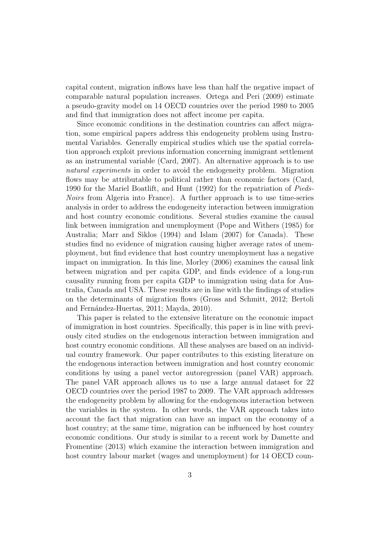capital content, migration inflows have less than half the negative impact of comparable natural population increases. Ortega and Peri (2009) estimate a pseudo-gravity model on 14 OECD countries over the period 1980 to 2005 and find that immigration does not affect income per capita.

Since economic conditions in the destination countries can affect migration, some empirical papers address this endogeneity problem using Instrumental Variables. Generally empirical studies which use the spatial correlation approach exploit previous information concerning immigrant settlement as an instrumental variable (Card, 2007). An alternative approach is to use natural experiments in order to avoid the endogeneity problem. Migration flows may be attributable to political rather than economic factors (Card, 1990 for the Mariel Boatlift, and Hunt (1992) for the repatriation of Pieds-Noirs from Algeria into France). A further approach is to use time-series analysis in order to address the endogeneity interaction between immigration and host country economic conditions. Several studies examine the causal link between immigration and unemployment (Pope and Withers (1985) for Australia; Marr and Siklos (1994) and Islam (2007) for Canada). These studies find no evidence of migration causing higher average rates of unemployment, but find evidence that host country unemployment has a negative impact on immigration. In this line, Morley (2006) examines the causal link between migration and per capita GDP, and finds evidence of a long-run causality running from per capita GDP to immigration using data for Australia, Canada and USA. These results are in line with the findings of studies on the determinants of migration flows (Gross and Schmitt, 2012; Bertoli and Fernández-Huertas, 2011; Mayda, 2010).

This paper is related to the extensive literature on the economic impact of immigration in host countries. Specifically, this paper is in line with previously cited studies on the endogenous interaction between immigration and host country economic conditions. All these analyses are based on an individual country framework. Our paper contributes to this existing literature on the endogenous interaction between immigration and host country economic conditions by using a panel vector autoregression (panel VAR) approach. The panel VAR approach allows us to use a large annual dataset for 22 OECD countries over the period 1987 to 2009. The VAR approach addresses the endogeneity problem by allowing for the endogenous interaction between the variables in the system. In other words, the VAR approach takes into account the fact that migration can have an impact on the economy of a host country; at the same time, migration can be influenced by host country economic conditions. Our study is similar to a recent work by Damette and Fromentine (2013) which examine the interaction between immigration and host country labour market (wages and unemployment) for 14 OECD coun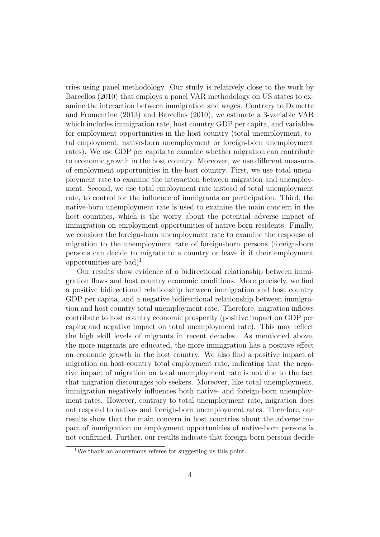tries using panel methodology. Our study is relatively close to the work by Barcellos (2010) that employs a panel VAR methodology on US states to examine the interaction between immigration and wages. Contrary to Damette and Fromentine (2013) and Barcellos (2010), we estimate a 3-variable VAR which includes immigration rate, host country GDP per capita, and variables for employment opportunities in the host country (total unemployment, total employment, native-born unemployment or foreign-born unemployment rates). We use GDP per capita to examine whether migration can contribute to economic growth in the host country. Moreover, we use different measures of employment opportunities in the host country. First, we use total unemployment rate to examine the interaction between migration and unemployment. Second, we use total employment rate instead of total unemployment rate, to control for the influence of immigrants on participation. Third, the native-born unemployment rate is used to examine the main concern in the host countries, which is the worry about the potential adverse impact of immigration on employment opportunities of native-born residents. Finally, we consider the foreign-born unemployment rate to examine the response of migration to the unemployment rate of foreign-born persons (foreign-born persons can decide to migrate to a country or leave it if their employment opportunities are bad $)^{1}$ .

Our results show evidence of a bidirectional relationship between immigration flows and host country economic conditions. More precisely, we find a positive bidirectional relationship between immigration and host country GDP per capita, and a negative bidirectional relationship between immigration and host country total unemployment rate. Therefore, migration inflows contribute to host country economic prosperity (positive impact on GDP per capita and negative impact on total unemployment rate). This may reflect the high skill levels of migrants in recent decades. As mentioned above, the more migrants are educated, the more immigration has a positive effect on economic growth in the host country. We also find a positive impact of migration on host country total employment rate, indicating that the negative impact of migration on total unemployment rate is not due to the fact that migration discourages job seekers. Moreover, like total unemployment, immigration negatively influences both native- and foreign-born unemployment rates. However, contrary to total unemployment rate, migration does not respond to native- and foreign-born unemployment rates. Therefore, our results show that the main concern in host countries about the adverse impact of immigration on employment opportunities of native-born persons is not confirmed. Further, our results indicate that foreign-born persons decide

<sup>&</sup>lt;sup>1</sup>We thank an anonymous referee for suggesting us this point.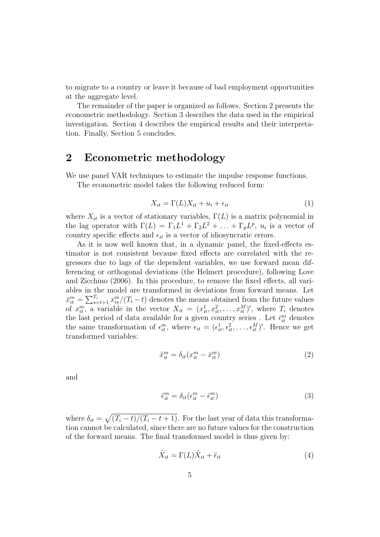to migrate to a country or leave it because of bad employment opportunities at the aggregate level.

The remainder of the paper is organized as follows. Section 2 presents the econometric methodology. Section 3 describes the data used in the empirical investigation. Section 4 describes the empirical results and their interpretation. Finally, Section 5 concludes.

### 2 Econometric methodology

We use panel VAR techniques to estimate the impulse response functions.

The econometric model takes the following reduced form:

$$
X_{it} = \Gamma(L)X_{it} + u_i + \epsilon_{it} \tag{1}
$$

where  $X_{it}$  is a vector of stationary variables,  $\Gamma(L)$  is a matrix polynomial in the lag operator with  $\Gamma(L) = \Gamma_1 L^1 + \Gamma_2 L^2 + \ldots + \Gamma_p L^p$ ,  $u_i$  is a vector of country specific effects and  $\epsilon_{it}$  is a vector of idiosyncratic errors.

As it is now well known that, in a dynamic panel, the fixed-effects estimator is not consistent because fixed effects are correlated with the regressors due to lags of the dependent variables, we use forward mean differencing or orthogonal deviations (the Helmert procedure), following Love and Zicchino (2006). In this procedure, to remove the fixed effects, all variables in the model are transformed in deviations from forward means. Let  $\bar{x}_{it}^m = \sum_{s=t+1}^{T_i} x_{is}^m / (T_i - t)$  denotes the means obtained from the future values of  $x_{it}^m$ , a variable in the vector  $X_{it} = (x_{it}^1, x_{it}^2, \ldots, x_{it}^M)'$ , where  $T_i$  denotes the last period of data available for a given country series . Let  $\bar{\epsilon}^m_{it}$  denotes the same transformation of  $\epsilon_{it}^m$ , where  $\epsilon_{it} = (\epsilon_{it}^1, \epsilon_{it}^2, \ldots, \epsilon_{it}^M)'$ . Hence we get transformed variables:

$$
\tilde{x}_{it}^m = \delta_{it}(x_{it}^m - \bar{x}_{it}^m) \tag{2}
$$

and

$$
\tilde{\epsilon}_{it}^{m} = \delta_{it} (\epsilon_{it}^{m} - \bar{\epsilon}_{it}^{m}) \tag{3}
$$

where  $\delta_{it} = \sqrt{(T_i - t)/(T_i - t + 1)}$ . For the last year of data this transformation cannot be calculated, since there are no future values for the construction of the forward means. The final transformed model is thus given by:

$$
\tilde{X}_{it} = \Gamma(L)\tilde{X}_{it} + \tilde{\epsilon}_{it}
$$
\n(4)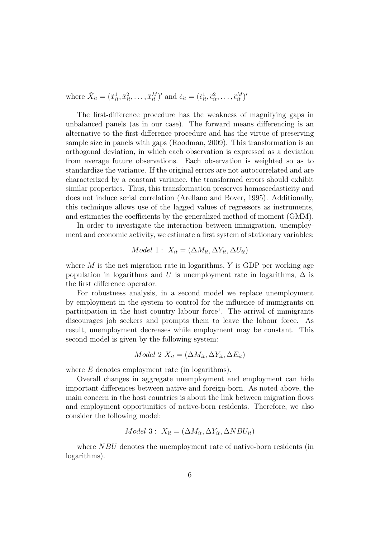where  $\tilde{X}_{it} = (\tilde{x}_{it}^1, \tilde{x}_{it}^2, \dots, \tilde{x}_{it}^M)'$  and  $\tilde{\epsilon}_{it} = (\tilde{\epsilon}_{it}^1, \tilde{\epsilon}_{it}^2, \dots, \tilde{\epsilon}_{it}^M)'$ 

The first-difference procedure has the weakness of magnifying gaps in unbalanced panels (as in our case). The forward means differencing is an alternative to the first-difference procedure and has the virtue of preserving sample size in panels with gaps (Roodman, 2009). This transformation is an orthogonal deviation, in which each observation is expressed as a deviation from average future observations. Each observation is weighted so as to standardize the variance. If the original errors are not autocorrelated and are characterized by a constant variance, the transformed errors should exhibit similar properties. Thus, this transformation preserves homoscedasticity and does not induce serial correlation (Arellano and Bover, 1995). Additionally, this technique allows use of the lagged values of regressors as instruments, and estimates the coefficients by the generalized method of moment (GMM).

In order to investigate the interaction between immigration, unemployment and economic activity, we estimate a first system of stationary variables:

$$
Model\ 1: X_{it} = (\Delta M_{it}, \Delta Y_{it}, \Delta U_{it})
$$

where  $M$  is the net migration rate in logarithms,  $Y$  is GDP per working age population in logarithms and U is unemployment rate in logarithms,  $\Delta$  is the first difference operator.

For robustness analysis, in a second model we replace unemployment by employment in the system to control for the influence of immigrants on participation in the host country labour force<sup>1</sup>. The arrival of immigrants discourages job seekers and prompts them to leave the labour force. As result, unemployment decreases while employment may be constant. This second model is given by the following system:

$$
Model\ 2\ X_{it} = (\Delta M_{it}, \Delta Y_{it}, \Delta E_{it})
$$

where  $E$  denotes employment rate (in logarithms).

Overall changes in aggregate unemployment and employment can hide important differences between native-and foreign-born. As noted above, the main concern in the host countries is about the link between migration flows and employment opportunities of native-born residents. Therefore, we also consider the following model:

$$
Model\ 3: X_{it} = (\Delta M_{it}, \Delta Y_{it}, \Delta NBU_{it})
$$

where NBU denotes the unemployment rate of native-born residents (in logarithms).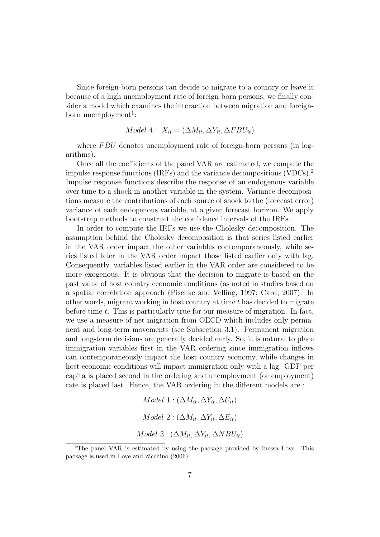Since foreign-born persons can decide to migrate to a country or leave it because of a high unemployment rate of foreign-born persons, we finally consider a model which examines the interaction between migration and foreignborn unemployment<sup>1</sup>:

$$
Model\ 4: X_{it} = (\Delta M_{it}, \Delta Y_{it}, \Delta FBU_{it})
$$

where  $FBU$  denotes unemployment rate of foreign-born persons (in logarithms).

Once all the coefficients of the panel VAR are estimated, we compute the impulse response functions (IRFs) and the variance decompositions (VDCs).<sup>2</sup> Impulse response functions describe the response of an endogenous variable over time to a shock in another variable in the system. Variance decompositions measure the contributions of each source of shock to the (forecast error) variance of each endogenous variable, at a given forecast horizon. We apply bootstrap methods to construct the confidence intervals of the IRFs.

In order to compute the IRFs we use the Cholesky decomposition. The assumption behind the Cholesky decomposition is that series listed earlier in the VAR order impact the other variables contemporaneously, while series listed later in the VAR order impact those listed earlier only with lag. Consequently, variables listed earlier in the VAR order are considered to be more exogenous. It is obvious that the decision to migrate is based on the past value of host country economic conditions (as noted in studies based on a spatial correlation approach (Pischke and Velling, 1997; Card, 2007). In other words, migrant working in host country at time t has decided to migrate before time  $t$ . This is particularly true for our measure of migration. In fact, we use a measure of net migration from OECD which includes only permanent and long-term movements (see Subsection 3.1). Permanent migration and long-term decisions are generally decided early. So, it is natural to place immigration variables first in the VAR ordering since immigration inflows can contemporaneously impact the host country economy, while changes in host economic conditions will impact immigration only with a lag. GDP per capita is placed second in the ordering and unemployment (or employment) rate is placed last. Hence, the VAR ordering in the different models are :

$$
Model\ 1: (\Delta M_{it}, \Delta Y_{it}, \Delta U_{it})
$$
  

$$
Model\ 2: (\Delta M_{it}, \Delta Y_{it}, \Delta E_{it})
$$
  

$$
Model\ 3: (\Delta M_{it}, \Delta Y_{it}, \Delta NBU_{it})
$$

<sup>&</sup>lt;sup>2</sup>The panel VAR is estimated by using the package provided by Inessa Love. This package is used in Love and Zicchino (2006).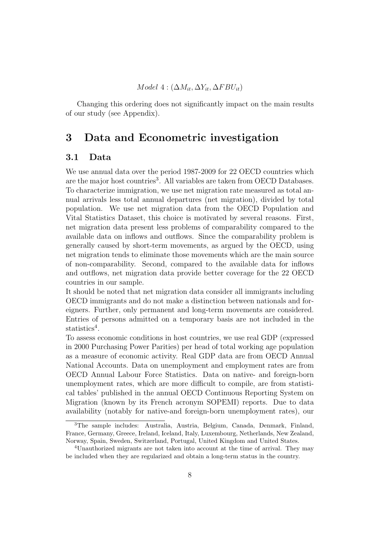Changing this ordering does not significantly impact on the main results of our study (see Appendix).

### 3 Data and Econometric investigation

#### 3.1 Data

We use annual data over the period 1987-2009 for 22 OECD countries which are the major host countries<sup>3</sup>. All variables are taken from OECD Databases. To characterize immigration, we use net migration rate measured as total annual arrivals less total annual departures (net migration), divided by total population. We use net migration data from the OECD Population and Vital Statistics Dataset, this choice is motivated by several reasons. First, net migration data present less problems of comparability compared to the available data on inflows and outflows. Since the comparability problem is generally caused by short-term movements, as argued by the OECD, using net migration tends to eliminate those movements which are the main source of non-comparability. Second, compared to the available data for inflows and outflows, net migration data provide better coverage for the 22 OECD countries in our sample.

It should be noted that net migration data consider all immigrants including OECD immigrants and do not make a distinction between nationals and foreigners. Further, only permanent and long-term movements are considered. Entries of persons admitted on a temporary basis are not included in the statistics<sup>4</sup>.

To assess economic conditions in host countries, we use real GDP (expressed in 2000 Purchasing Power Parities) per head of total working age population as a measure of economic activity. Real GDP data are from OECD Annual National Accounts. Data on unemployment and employment rates are from OECD Annual Labour Force Statistics. Data on native- and foreign-born unemployment rates, which are more difficult to compile, are from statistical tables' published in the annual OECD Continuous Reporting System on Migration (known by its French acronym SOPEMI) reports. Due to data availability (notably for native-and foreign-born unemployment rates), our

<sup>3</sup>The sample includes: Australia, Austria, Belgium, Canada, Denmark, Finland, France, Germany, Greece, Ireland, Iceland, Italy, Luxembourg, Netherlands, New Zealand, Norway, Spain, Sweden, Switzerland, Portugal, United Kingdom and United States.

<sup>4</sup>Unauthorized migrants are not taken into account at the time of arrival. They may be included when they are regularized and obtain a long-term status in the country.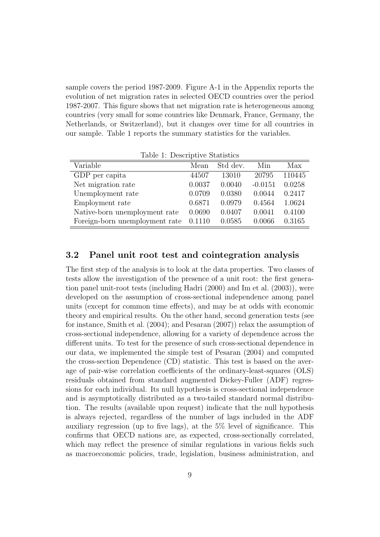sample covers the period 1987-2009. Figure A-1 in the Appendix reports the evolution of net migration rates in selected OECD countries over the period 1987-2007. This figure shows that net migration rate is heterogeneous among countries (very small for some countries like Denmark, France, Germany, the Netherlands, or Switzerland), but it changes over time for all countries in our sample. Table 1 reports the summary statistics for the variables.

| rapic 1. Descriptive Deathornes |        |          |           |        |  |  |  |  |
|---------------------------------|--------|----------|-----------|--------|--|--|--|--|
| Variable                        | Mean   | Std dev. | Min       | Max    |  |  |  |  |
| GDP per capita                  | 44507  | 13010    | 20795     | 110445 |  |  |  |  |
| Net migration rate              | 0.0037 | 0.0040   | $-0.0151$ | 0.0258 |  |  |  |  |
| Unemployment rate               | 0.0709 | 0.0380   | 0.0044    | 0.2417 |  |  |  |  |
| Employment rate                 | 0.6871 | 0.0979   | 0.4564    | 1.0624 |  |  |  |  |
| Native-born unemployment rate   | 0.0690 | 0.0407   | 0.0041    | 0.4100 |  |  |  |  |
| Foreign-born unemployment rate  | 0.1110 | 0.0585   | 0.0066    | 0.3165 |  |  |  |  |

Table 1: Descriptive Statistics

#### 3.2 Panel unit root test and cointegration analysis

The first step of the analysis is to look at the data properties. Two classes of tests allow the investigation of the presence of a unit root: the first generation panel unit-root tests (including Hadri (2000) and Im et al. (2003)), were developed on the assumption of cross-sectional independence among panel units (except for common time effects), and may be at odds with economic theory and empirical results. On the other hand, second generation tests (see for instance, Smith et al. (2004); and Pesaran (2007)) relax the assumption of cross-sectional independence, allowing for a variety of dependence across the different units. To test for the presence of such cross-sectional dependence in our data, we implemented the simple test of Pesaran (2004) and computed the cross-section Dependence (CD) statistic. This test is based on the average of pair-wise correlation coefficients of the ordinary-least-squares (OLS) residuals obtained from standard augmented Dickey-Fuller (ADF) regressions for each individual. Its null hypothesis is cross-sectional independence and is asymptotically distributed as a two-tailed standard normal distribution. The results (available upon request) indicate that the null hypothesis is always rejected, regardless of the number of lags included in the ADF auxiliary regression (up to five lags), at the 5% level of significance. This confirms that OECD nations are, as expected, cross-sectionally correlated, which may reflect the presence of similar regulations in various fields such as macroeconomic policies, trade, legislation, business administration, and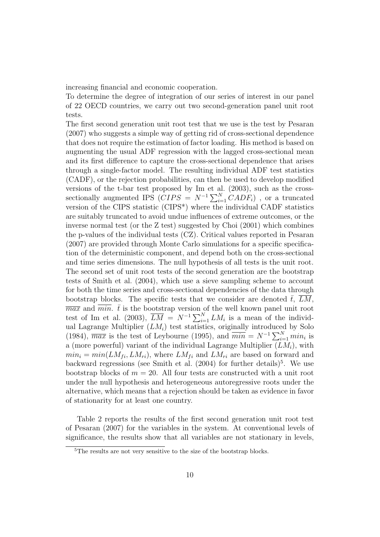increasing financial and economic cooperation.

To determine the degree of integration of our series of interest in our panel of 22 OECD countries, we carry out two second-generation panel unit root tests.

The first second generation unit root test that we use is the test by Pesaran (2007) who suggests a simple way of getting rid of cross-sectional dependence that does not require the estimation of factor loading. His method is based on augmenting the usual ADF regression with the lagged cross-sectional mean and its first difference to capture the cross-sectional dependence that arises through a single-factor model. The resulting individual ADF test statistics (CADF), or the rejection probabilities, can then be used to develop modified versions of the t-bar test proposed by Im et al. (2003), such as the crosssectionally augmented IPS  $(CIPS = N^{-1} \sum_{i=1}^{N} CADF_i)$ , or a truncated version of the CIPS statistic (CIPS\*) where the individual CADF statistics are suitably truncated to avoid undue influences of extreme outcomes, or the inverse normal test (or the Z test) suggested by Choi (2001) which combines the p-values of the individual tests (CZ). Critical values reported in Pesaran (2007) are provided through Monte Carlo simulations for a specific specification of the deterministic component, and depend both on the cross-sectional and time series dimensions. The null hypothesis of all tests is the unit root. The second set of unit root tests of the second generation are the bootstrap tests of Smith et al. (2004), which use a sieve sampling scheme to account for both the time series and cross-sectional dependencies of the data through bootstrap blocks. The specific tests that we consider are denoted  $\bar{t}$ , LM,  $\overline{max}$  and  $\overline{min}$ .  $\overline{t}$  is the bootstrap version of the well known panel unit root test of Im et al. (2003),  $\overline{LM} = N^{-1} \sum_{i=1}^{N} LM_i$  is a mean of the individual Lagrange Multiplier  $(LM_i)$  test statistics, originally introduced by Solo (1984),  $\overline{max}$  is the test of Leybourne (1995), and  $\overline{min} = N^{-1} \sum_{i=1}^{N} min_i$  is a (more powerful) variant of the individual Lagrange Multiplier  $(LM_i)$ , with  $min_i = min(LM_{fi}, LM_{ri}),$  where  $LM_{fi}$  and  $LM_{ri}$  are based on forward and backward regressions (see Smith et al.  $(2004)$  for further details)<sup>5</sup>. We use bootstrap blocks of  $m = 20$ . All four tests are constructed with a unit root under the null hypothesis and heterogeneous autoregressive roots under the alternative, which means that a rejection should be taken as evidence in favor of stationarity for at least one country.

Table 2 reports the results of the first second generation unit root test of Pesaran (2007) for the variables in the system. At conventional levels of significance, the results show that all variables are not stationary in levels,

<sup>&</sup>lt;sup>5</sup>The results are not very sensitive to the size of the bootstrap blocks.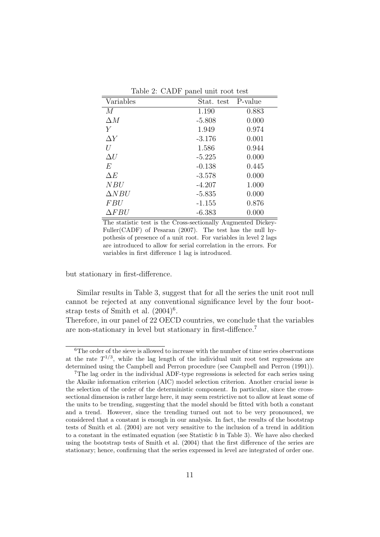| Variables    | Stat. test | P-value |  |  |  |  |
|--------------|------------|---------|--|--|--|--|
| М            | 1.190      | 0.883   |  |  |  |  |
| $\Delta M$   | $-5.808$   | 0.000   |  |  |  |  |
| Υ            | 1.949      | 0.974   |  |  |  |  |
| $\Delta Y$   | $-3.176$   | 0.001   |  |  |  |  |
| U            | 1.586      | 0.944   |  |  |  |  |
| $\Delta U$   | $-5.225$   | 0.000   |  |  |  |  |
| E            | $-0.138$   | 0.445   |  |  |  |  |
| $\Delta E$   | $-3.578$   | 0.000   |  |  |  |  |
| N BU         | $-4.207$   | 1.000   |  |  |  |  |
| $\Delta NBU$ | $-5.835$   | 0.000   |  |  |  |  |
| <i>FBU</i>   | $-1.155$   | 0.876   |  |  |  |  |
| $\Delta FBU$ | $-6.383$   | 0.000   |  |  |  |  |

Table 2: CADF panel unit root test

The statistic test is the Cross-sectionally Augmented Dickey-Fuller(CADF) of Pesaran (2007). The test has the null hypothesis of presence of a unit root. For variables in level 2 lags are introduced to allow for serial correlation in the errors. For variables in first difference 1 lag is introduced.

but stationary in first-difference.

Similar results in Table 3, suggest that for all the series the unit root null cannot be rejected at any conventional significance level by the four bootstrap tests of Smith et al.  $(2004)^6$ .

Therefore, in our panel of 22 OECD countries, we conclude that the variables are non-stationary in level but stationary in first-diffence.<sup>7</sup>

<sup>&</sup>lt;sup>6</sup>The order of the sieve is allowed to increase with the number of time series observations at the rate  $T^{1/3}$ , while the lag length of the individual unit root test regressions are determined using the Campbell and Perron procedure (see Campbell and Perron (1991)).

<sup>7</sup>The lag order in the individual ADF-type regressions is selected for each series using the Akaike information criterion (AIC) model selection criterion. Another crucial issue is the selection of the order of the deterministic component. In particular, since the crosssectional dimension is rather large here, it may seem restrictive not to allow at least some of the units to be trending, suggesting that the model should be fitted with both a constant and a trend. However, since the trending turned out not to be very pronounced, we considered that a constant is enough in our analysis. In fact, the results of the bootstrap tests of Smith et al. (2004) are not very sensitive to the inclusion of a trend in addition to a constant in the estimated equation (see Statistic  $b$  in Table 3). We have also checked using the bootstrap tests of Smith et al. (2004) that the first difference of the series are stationary; hence, confirming that the series expressed in level are integrated of order one.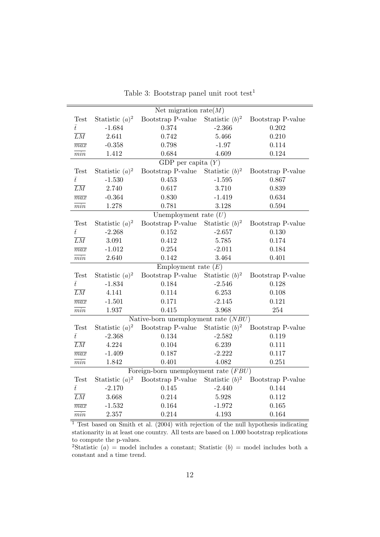|                  | Net migration rate $(M)$               |                                        |                   |                   |  |  |  |  |  |  |
|------------------|----------------------------------------|----------------------------------------|-------------------|-------------------|--|--|--|--|--|--|
| <b>Test</b>      | Statistic $(a)^2$                      | Bootstrap P-value<br>Statistic $(b)^2$ |                   | Bootstrap P-value |  |  |  |  |  |  |
| $\bar{t}$        | $-1.684$                               | 0.374                                  | $-2.366$          | 0.202             |  |  |  |  |  |  |
| $\overline{LM}$  | $2.641\,$                              | 0.742                                  | 5.466             | 0.210             |  |  |  |  |  |  |
| $\overline{max}$ | $-0.358$                               | 0.798                                  | $-1.97$           | 0.114             |  |  |  |  |  |  |
| $\overline{min}$ | 1.412                                  | 0.684                                  | 4.609             | 0.124             |  |  |  |  |  |  |
|                  | GDP per capita $(Y)$                   |                                        |                   |                   |  |  |  |  |  |  |
| <b>Test</b>      | Statistic $(a)^2$                      | Bootstrap P-value                      | Statistic $(b)^2$ | Bootstrap P-value |  |  |  |  |  |  |
| $\bar{t}$        | $-1.530$                               | 0.453                                  | $-1.595$          | 0.867             |  |  |  |  |  |  |
| $\overline{LM}$  | 2.740                                  | 0.617                                  | 3.710             | 0.839             |  |  |  |  |  |  |
| $\overline{max}$ | $-0.364$                               | 0.830                                  | $-1.419$          | 0.634             |  |  |  |  |  |  |
| $\overline{min}$ | 1.278                                  | 0.781                                  | 3.128             | 0.594             |  |  |  |  |  |  |
|                  |                                        | Unemployment rate $(U)$                |                   |                   |  |  |  |  |  |  |
| Test             | Statistic $(a)^2$                      | Bootstrap P-value                      | Statistic $(b)^2$ | Bootstrap P-value |  |  |  |  |  |  |
| $\bar{t}$        | $-2.268$                               | 0.152                                  | $-2.657$          | 0.130             |  |  |  |  |  |  |
| $\overline{LM}$  | 3.091                                  | 0.412                                  | 5.785             | 0.174             |  |  |  |  |  |  |
| $\overline{max}$ | $-1.012$                               | 0.254                                  | $-2.011$          | 0.184             |  |  |  |  |  |  |
| $\overline{min}$ | 2.640                                  | 0.142                                  | 3.464             | 0.401             |  |  |  |  |  |  |
|                  | Employment rate $(E)$                  |                                        |                   |                   |  |  |  |  |  |  |
| <b>Test</b>      | Statistic $(a)^2$                      | Bootstrap P-value                      | Statistic $(b)^2$ | Bootstrap P-value |  |  |  |  |  |  |
| $\bar{t}$        | $-1.834$                               | 0.184                                  | $-2.546$          | 0.128             |  |  |  |  |  |  |
| $\overline{LM}$  | 4.141                                  | 0.114                                  | 6.253             | 0.108             |  |  |  |  |  |  |
| $\overline{max}$ | $-1.501$                               | 0.171                                  | $-2.145$          | 0.121             |  |  |  |  |  |  |
| $\overline{min}$ | 1.937                                  | 0.415                                  | 3.968             | 254               |  |  |  |  |  |  |
|                  |                                        | Native-born unemployment rate $(NBU)$  |                   |                   |  |  |  |  |  |  |
| Test             | Statistic $(a)^2$                      | Bootstrap P-value                      | Statistic $(b)^2$ | Bootstrap P-value |  |  |  |  |  |  |
| $\bar{t}$        | $-2.368$                               | 0.134                                  | $-2.582$          | 0.119             |  |  |  |  |  |  |
| $\overline{LM}$  | 4.224                                  | 0.104                                  | 6.239             | 0.111             |  |  |  |  |  |  |
| $\overline{max}$ | $-1.409$                               | 0.187                                  | $-2.222$          | 0.117             |  |  |  |  |  |  |
| $\overline{min}$ | 1.842                                  | 0.401                                  | 4.082             | 0.251             |  |  |  |  |  |  |
|                  | Foreign-born unemployment rate $(FBU)$ |                                        |                   |                   |  |  |  |  |  |  |
| <b>Test</b>      | Statistic $(a)^2$                      | Bootstrap P-value                      | Statistic $(b)^2$ | Bootstrap P-value |  |  |  |  |  |  |
| $\bar{t}$        | $-2.170$                               | 0.145                                  | $-2.440$          | 0.144             |  |  |  |  |  |  |
| $\overline{LM}$  | 3.668                                  | 0.214                                  | 5.928             | 0.112             |  |  |  |  |  |  |
| $\overline{max}$ | $-1.532$                               | 0.164                                  | $-1.972$          | 0.165             |  |  |  |  |  |  |
| min              | 2.357                                  | 0.214                                  | 4.193             | 0.164             |  |  |  |  |  |  |

Table 3: Bootstrap panel unit root test<sup>1</sup>

 $\frac{1}{1}$  Test based on Smith et al. (2004) with rejection of the null hypothesis indicating stationarity in at least one country. All tests are based on 1.000 bootstrap replications to compute the p-values.

<sup>2</sup>Statistic (a) = model includes a constant; Statistic (b) = model includes both a constant and a time trend.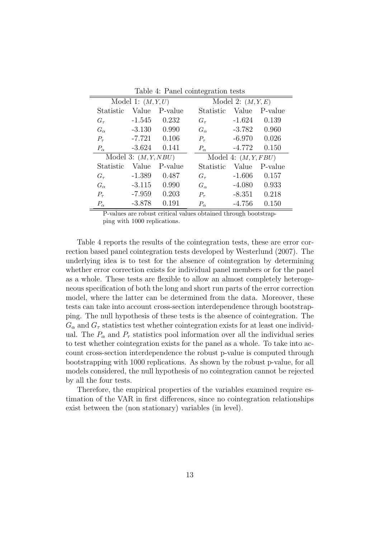|              |                        |         | Ő            |                        |         |  |  |
|--------------|------------------------|---------|--------------|------------------------|---------|--|--|
|              | Model 1: $(M, Y, U)$   |         |              | Model 2: $(M, Y, E)$   |         |  |  |
| Statistic    | Value                  | P-value | Statistic    | Value                  | P-value |  |  |
| $G_{\tau}$   | $-1.545$               | 0.232   | $G_{\tau}$   | $-1.624$               | 0.139   |  |  |
| $G_{\alpha}$ | $-3.130$               | 0.990   | $G_{\alpha}$ | -3.782                 | 0.960   |  |  |
| $P_{\tau}$   | $-7.721$               | 0.106   | $P_{\tau}$   | -6.970                 | 0.026   |  |  |
| $P_{\alpha}$ | $-3.624$               | 0.141   | $P_{\alpha}$ | $-4.772$               | 0.150   |  |  |
|              | Model 3: $(M, Y, NBU)$ |         |              | Model 4: $(M, Y, FBU)$ |         |  |  |
| Statistic    | Value                  | P-value | Statistic    | Value                  | P-value |  |  |
| $G_{\tau}$   | $-1.389$               | 0.487   | $G_{\tau}$   | $-1.606$               | 0.157   |  |  |
| $G_{\alpha}$ | $-3.115$               | 0.990   | $G_{\alpha}$ | $-4.080$               | 0.933   |  |  |
| $P_{\tau}$   | $-7.959$               | 0.203   | $P_{\tau}$   | $-8.351$               | 0.218   |  |  |
| $P_{\alpha}$ | $-3.878$               | 0.191   | $P_{\alpha}$ | $-4.756$               | 0.150   |  |  |

Table 4: Panel cointegration tests

P-values are robust critical values obtained through bootstrapping with 1000 replications.

Table 4 reports the results of the cointegration tests, these are error correction based panel cointegration tests developed by Westerlund (2007). The underlying idea is to test for the absence of cointegration by determining whether error correction exists for individual panel members or for the panel as a whole. These tests are flexible to allow an almost completely heterogeneous specification of both the long and short run parts of the error correction model, where the latter can be determined from the data. Moreover, these tests can take into account cross-section interdependence through bootstrapping. The null hypothesis of these tests is the absence of cointegration. The  $G_{\alpha}$  and  $G_{\tau}$  statistics test whether cointegration exists for at least one individual. The  $P_{\alpha}$  and  $P_{\tau}$  statistics pool information over all the individual series to test whether cointegration exists for the panel as a whole. To take into account cross-section interdependence the robust p-value is computed through bootstrapping with 1000 replications. As shown by the robust p-value, for all models considered, the null hypothesis of no cointegration cannot be rejected by all the four tests.

Therefore, the empirical properties of the variables examined require estimation of the VAR in first differences, since no cointegration relationships exist between the (non stationary) variables (in level).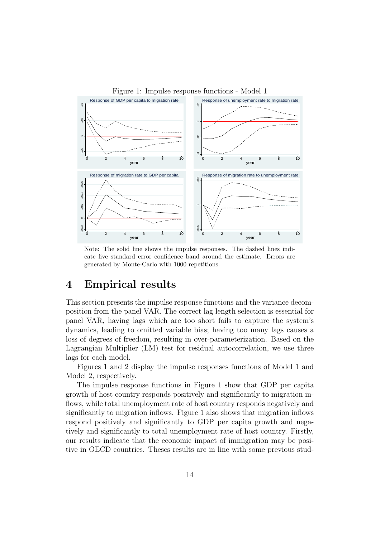

Note: The solid line shows the impulse responses. The dashed lines indicate five standard error confidence band around the estimate. Errors are generated by Monte-Carlo with 1000 repetitions.

### 4 Empirical results

This section presents the impulse response functions and the variance decomposition from the panel VAR. The correct lag length selection is essential for panel VAR, having lags which are too short fails to capture the system's dynamics, leading to omitted variable bias; having too many lags causes a loss of degrees of freedom, resulting in over-parameterization. Based on the Lagrangian Multiplier (LM) test for residual autocorrelation, we use three lags for each model.

Figures 1 and 2 display the impulse responses functions of Model 1 and Model 2, respectively.

The impulse response functions in Figure 1 show that GDP per capita growth of host country responds positively and significantly to migration inflows, while total unemployment rate of host country responds negatively and significantly to migration inflows. Figure 1 also shows that migration inflows respond positively and significantly to GDP per capita growth and negatively and significantly to total unemployment rate of host country. Firstly, our results indicate that the economic impact of immigration may be positive in OECD countries. Theses results are in line with some previous stud-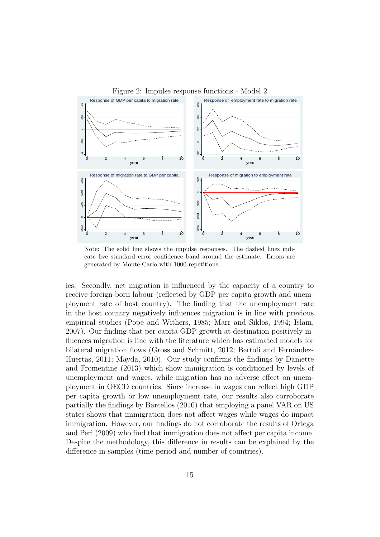

Figure 2: Impulse response functions - Model 2

Note: The solid line shows the impulse responses. The dashed lines indicate five standard error confidence band around the estimate. Errors are generated by Monte-Carlo with 1000 repetitions.

ies. Secondly, net migration is influenced by the capacity of a country to receive foreign-born labour (reflected by GDP per capita growth and unemployment rate of host country). The finding that the unemployment rate in the host country negatively influences migration is in line with previous empirical studies (Pope and Withers, 1985; Marr and Siklos, 1994; Islam, 2007). Our finding that per capita GDP growth at destination positively influences migration is line with the literature which has estimated models for bilateral migration flows (Gross and Schmitt, 2012; Bertoli and Fernández-Huertas, 2011; Mayda, 2010). Our study confirms the findings by Damette and Fromentine (2013) which show immigration is conditioned by levels of unemployment and wages, while migration has no adverse effect on unemployment in OECD countries. Since increase in wages can reflect high GDP per capita growth or low unemployment rate, our results also corroborate partially the findings by Barcellos (2010) that employing a panel VAR on US states shows that immigration does not affect wages while wages do impact immigration. However, our findings do not corroborate the results of Ortega and Peri (2009) who find that immigration does not affect per capita income. Despite the methodology, this difference in results can be explained by the difference in samples (time period and number of countries).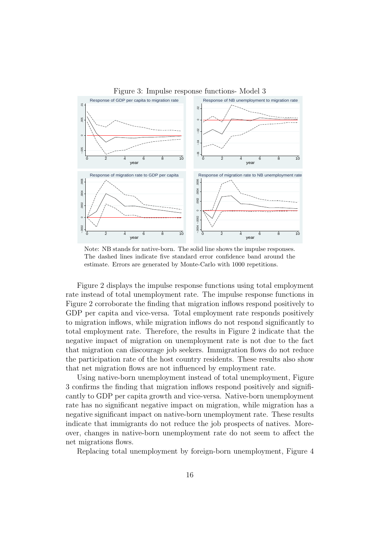

Note: NB stands for native-born. The solid line shows the impulse responses. The dashed lines indicate five standard error confidence band around the

estimate. Errors are generated by Monte-Carlo with 1000 repetitions.

Figure 2 displays the impulse response functions using total employment rate instead of total unemployment rate. The impulse response functions in Figure 2 corroborate the finding that migration inflows respond positively to GDP per capita and vice-versa. Total employment rate responds positively to migration inflows, while migration inflows do not respond significantly to total employment rate. Therefore, the results in Figure 2 indicate that the negative impact of migration on unemployment rate is not due to the fact that migration can discourage job seekers. Immigration flows do not reduce the participation rate of the host country residents. These results also show that net migration flows are not influenced by employment rate.

Using native-born unemployment instead of total unemployment, Figure 3 confirms the finding that migration inflows respond positively and significantly to GDP per capita growth and vice-versa. Native-born unemployment rate has no significant negative impact on migration, while migration has a negative significant impact on native-born unemployment rate. These results indicate that immigrants do not reduce the job prospects of natives. Moreover, changes in native-born unemployment rate do not seem to affect the net migrations flows.

Replacing total unemployment by foreign-born unemployment, Figure 4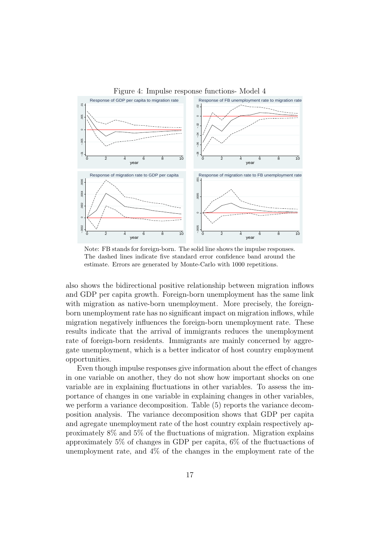

Figure 4: Impulse response functions- Model 4

Note: FB stands for foreign-born. The solid line shows the impulse responses. The dashed lines indicate five standard error confidence band around the estimate. Errors are generated by Monte-Carlo with 1000 repetitions.

also shows the bidirectional positive relationship between migration inflows and GDP per capita growth. Foreign-born unemployment has the same link with migration as native-born unemployment. More precisely, the foreignborn unemployment rate has no significant impact on migration inflows, while migration negatively influences the foreign-born unemployment rate. These results indicate that the arrival of immigrants reduces the unemployment rate of foreign-born residents. Immigrants are mainly concerned by aggregate unemployment, which is a better indicator of host country employment opportunities.

Even though impulse responses give information about the effect of changes in one variable on another, they do not show how important shocks on one variable are in explaining fluctuations in other variables. To assess the importance of changes in one variable in explaining changes in other variables, we perform a variance decomposition. Table (5) reports the variance decomposition analysis. The variance decomposition shows that GDP per capita and agregate unemployment rate of the host country explain respectively approximately 8% and 5% of the fluctuations of migration. Migration explains approximately 5% of changes in GDP per capita, 6% of the fluctuactions of unemployment rate, and 4% of the changes in the employment rate of the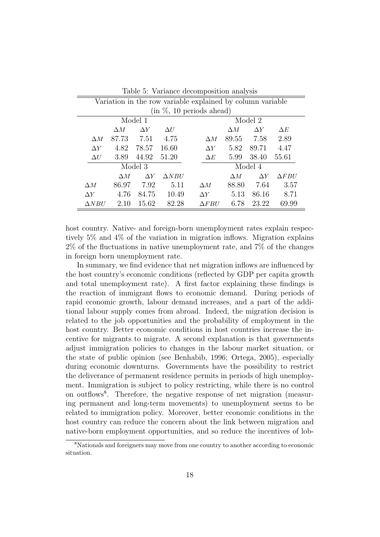| Lable 9. Valiance decomposition analysis |                                                            |            |              |  |              |            |            |              |  |
|------------------------------------------|------------------------------------------------------------|------------|--------------|--|--------------|------------|------------|--------------|--|
|                                          | Variation in the row variable explained by column variable |            |              |  |              |            |            |              |  |
|                                          | $(in \% 10 \text{ periods ahead})$                         |            |              |  |              |            |            |              |  |
| Model 1                                  |                                                            |            |              |  | Model 2      |            |            |              |  |
|                                          | $\Delta M$<br>$\Delta Y$<br>$\Delta U$                     |            |              |  |              | $\Delta M$ | $\Delta Y$ | $\Delta E$   |  |
| $\Delta M$                               | 87.73                                                      | 7.51       | 4.75         |  | $\Delta M$   | 89.55      | 7.58       | 2.89         |  |
| $\Delta Y$                               | 4.82                                                       | 78.57      | 16.60        |  | $\Delta Y$   | 5.82       | 89.71      | 4.47         |  |
| $\Delta U$                               | 3.89                                                       | 44.92      | 51.20        |  | $\Delta E$   | 5.99       | 38.40      | 55.61        |  |
|                                          | Model 3                                                    |            |              |  |              | Model 4    |            |              |  |
|                                          | $\Delta M$                                                 | $\Delta Y$ | $\Delta NBU$ |  |              | $\Delta M$ | $\Delta Y$ | $\Delta FBU$ |  |
| $\Delta M$                               | 86.97                                                      | 7.92       | 5.11         |  | $\Delta M$   | 88.80      | 7.64       | 3.57         |  |
| $\Delta Y$                               | 4.76                                                       | 84.75      | 10.49        |  | $\Delta Y$   | 5.13       | 86.16      | 8.71         |  |
| $\triangle NBU$                          | 2.10                                                       | 15.62      | 82.28        |  | $\Delta FBU$ | 6.78       | 23.22      | 69.99        |  |

Table 5: Variance decomposition analysis

host country. Native- and foreign-born unemployment rates explain respectively 5% and 4% of the variation in migration inflows. Migration explains 2% of the fluctuations in native unemployment rate, and 7% of the changes in foreign born unemployment rate.

In summary, we find evidence that net migration inflows are influenced by the host country's economic conditions (reflected by GDP per capita growth and total unemployment rate). A first factor explaining these findings is the reaction of immigrant flows to economic demand. During periods of rapid economic growth, labour demand increases, and a part of the additional labour supply comes from abroad. Indeed, the migration decision is related to the job opportunities and the probability of employment in the host country. Better economic conditions in host countries increase the incentive for migrants to migrate. A second explanation is that governments adjust immigration policies to changes in the labour market situation, or the state of public opinion (see Benhabib, 1996; Ortega, 2005), especially during economic downturns. Governments have the possibility to restrict the deliverance of permanent residence permits in periods of high unemployment. Immigration is subject to policy restricting, while there is no control on outflows<sup>8</sup>. Therefore, the negative response of net migration (measuring permanent and long-term movements) to unemployment seems to be related to immigration policy. Moreover, better economic conditions in the host country can reduce the concern about the link between migration and native-born employment opportunities, and so reduce the incentives of lob-

<sup>8</sup>Nationals and foreigners may move from one country to another according to economic situation.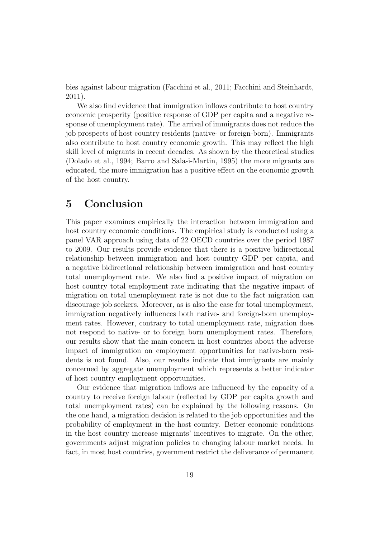bies against labour migration (Facchini et al., 2011; Facchini and Steinhardt, 2011).

We also find evidence that immigration inflows contribute to host country economic prosperity (positive response of GDP per capita and a negative response of unemployment rate). The arrival of immigrants does not reduce the job prospects of host country residents (native- or foreign-born). Immigrants also contribute to host country economic growth. This may reflect the high skill level of migrants in recent decades. As shown by the theoretical studies (Dolado et al., 1994; Barro and Sala-i-Martin, 1995) the more migrants are educated, the more immigration has a positive effect on the economic growth of the host country.

#### 5 Conclusion

This paper examines empirically the interaction between immigration and host country economic conditions. The empirical study is conducted using a panel VAR approach using data of 22 OECD countries over the period 1987 to 2009. Our results provide evidence that there is a positive bidirectional relationship between immigration and host country GDP per capita, and a negative bidirectional relationship between immigration and host country total unemployment rate. We also find a positive impact of migration on host country total employment rate indicating that the negative impact of migration on total unemployment rate is not due to the fact migration can discourage job seekers. Moreover, as is also the case for total unemployment, immigration negatively influences both native- and foreign-born unemployment rates. However, contrary to total unemployment rate, migration does not respond to native- or to foreign born unemployment rates. Therefore, our results show that the main concern in host countries about the adverse impact of immigration on employment opportunities for native-born residents is not found. Also, our results indicate that immigrants are mainly concerned by aggregate unemployment which represents a better indicator of host country employment opportunities.

Our evidence that migration inflows are influenced by the capacity of a country to receive foreign labour (reflected by GDP per capita growth and total unemployment rates) can be explained by the following reasons. On the one hand, a migration decision is related to the job opportunities and the probability of employment in the host country. Better economic conditions in the host country increase migrants' incentives to migrate. On the other, governments adjust migration policies to changing labour market needs. In fact, in most host countries, government restrict the deliverance of permanent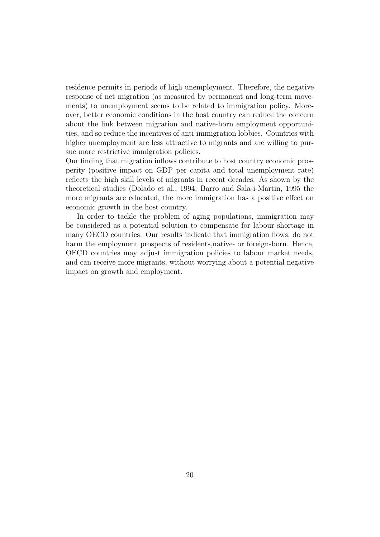residence permits in periods of high unemployment. Therefore, the negative response of net migration (as measured by permanent and long-term movements) to unemployment seems to be related to immigration policy. Moreover, better economic conditions in the host country can reduce the concern about the link between migration and native-born employment opportunities, and so reduce the incentives of anti-immigration lobbies. Countries with higher unemployment are less attractive to migrants and are willing to pursue more restrictive immigration policies.

Our finding that migration inflows contribute to host country economic prosperity (positive impact on GDP per capita and total unemployment rate) reflects the high skill levels of migrants in recent decades. As shown by the theoretical studies (Dolado et al., 1994; Barro and Sala-i-Martin, 1995 the more migrants are educated, the more immigration has a positive effect on economic growth in the host country.

In order to tackle the problem of aging populations, immigration may be considered as a potential solution to compensate for labour shortage in many OECD countries. Our results indicate that immigration flows, do not harm the employment prospects of residents,native- or foreign-born. Hence, OECD countries may adjust immigration policies to labour market needs, and can receive more migrants, without worrying about a potential negative impact on growth and employment.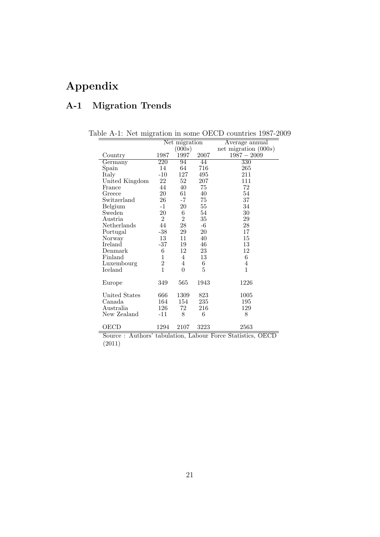# Appendix

# A-1 Migration Trends

|                | Net migration    |                |        | Average annual         |  |  |
|----------------|------------------|----------------|--------|------------------------|--|--|
|                | (000s)           |                |        | net migration $(000s)$ |  |  |
| Country        | 1987             | 1997           | 2007   | $1987 - 2009$          |  |  |
| Germany        | $\overline{220}$ | 94             | 44     | 330                    |  |  |
| Spain          | 14               | 64             | 716    | 265                    |  |  |
| Italy          | $-10$            | 127            | 495    | 211                    |  |  |
| United Kingdom | 22               | 52             | 207    | 111                    |  |  |
| France         | 44               | 40             | 75     | 72                     |  |  |
| Greece         | 20               | 61             | 40     | 54                     |  |  |
| Switzerland    | 26               | -7             | 75     | 37                     |  |  |
| Belgium        | -1               | 20             | $55\,$ | 34                     |  |  |
| Sweden         | $20\,$           | 6              | $54\,$ | 30                     |  |  |
| Austria        | $\overline{2}$   | $\overline{2}$ | $35\,$ | 29                     |  |  |
| Netherlands    | 44               | 28             | $-6$   | 28                     |  |  |
| Portugal       | $-38$            | 29             | $20\,$ | 17                     |  |  |
| Norway         | 13               | 11             | 40     | 15                     |  |  |
| Ireland        | $-37$            | 19             | 46     | 13                     |  |  |
| Denmark        | $\,6$            | 12             | $23\,$ | 12                     |  |  |
| Finland        | $\mathbf{1}$     | $\overline{4}$ | 13     | $\,6\,$                |  |  |
| Luxembourg     | $\overline{2}$   | 4              | $\,6$  | 4                      |  |  |
| Iceland        | $\overline{1}$   | $\overline{0}$ | 5      | $\mathbf{1}$           |  |  |
| Europe         | 349              | 565            | 1943   | 1226                   |  |  |
| United States  | 666              | 1309           | 823    | 1005                   |  |  |
| Canada         | 164              | 154            | 235    | 195                    |  |  |
| Australia      | 126              | 72             | 216    | 129                    |  |  |
| New Zealand    | $-11$            | 8              | 6      | 8                      |  |  |
| OECD           | 1294             | 2107           | 3223   | 2563                   |  |  |

Table A-1: Net migration in some OECD countries 1987-2009

Source : Authors' tabulation, Labour Force Statistics, OECD (2011)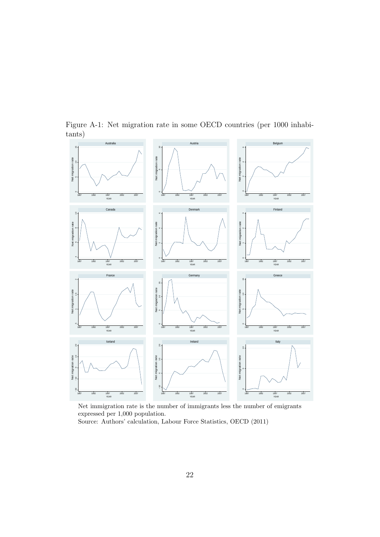

Figure A-1: Net migration rate in some OECD countries (per 1000 inhabitants)

Net immigration rate is the number of immigrants less the number of emigrants expressed per 1,000 population.

Source: Authors' calculation, Labour Force Statistics, OECD (2011)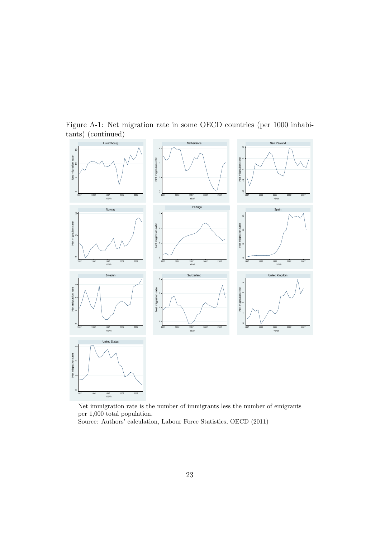

Figure A-1: Net migration rate in some OECD countries (per 1000 inhabitants) (continued)

Net immigration rate is the number of immigrants less the number of emigrants per 1,000 total population.

Source: Authors' calculation, Labour Force Statistics, OECD (2011)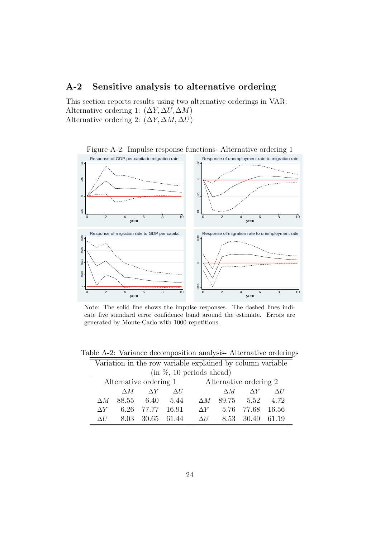#### A-2 Sensitive analysis to alternative ordering

This section reports results using two alternative orderings in VAR: Alternative ordering 1:  $(\Delta Y, \Delta U, \Delta M)$ Alternative ordering 2:  $(\Delta Y, \Delta M, \Delta U)$ 



Note: The solid line shows the impulse responses. The dashed lines indicate five standard error confidence band around the estimate. Errors are generated by Monte-Carlo with 1000 repetitions.

| Variation in the row variable explained by column variable |            |             |         |                                 |                       |                  |       |  |
|------------------------------------------------------------|------------|-------------|---------|---------------------------------|-----------------------|------------------|-------|--|
| $(in \% 10 \text{ periods ahead})$                         |            |             |         |                                 |                       |                  |       |  |
| Alternative ordering 1<br>Alternative ordering 2           |            |             |         |                                 |                       |                  |       |  |
|                                                            | ΛM         | $\Lambda Y$ | AH      | $\Lambda Y$<br>$\wedge$ M<br>ΑU |                       |                  |       |  |
| $\Delta M$                                                 | 88.55 6.40 |             | 5.44    |                                 | $\Delta M$ 89.75 5.52 |                  | 4.72  |  |
| $\Lambda Y$                                                |            | 6.26 77.77  | - 16.91 | $\Delta Y$                      |                       | 5.76 77.68 16.56 |       |  |
| ΑU                                                         | 8.03       | 30.65 61.44 |         | AH                              |                       | 8.53 30.40       | 61.19 |  |

Table A-2: Variance decomposition analysis- Alternative orderings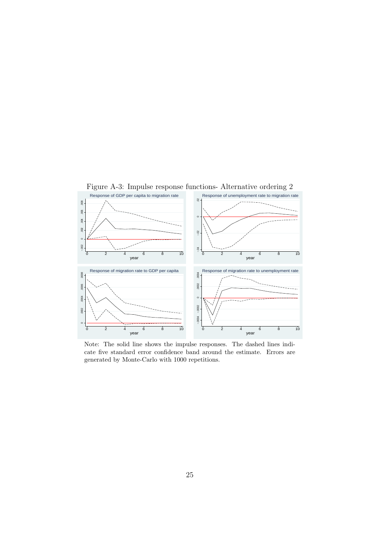

Figure A-3: Impulse response functions- Alternative ordering 2

Note: The solid line shows the impulse responses. The dashed lines indicate five standard error confidence band around the estimate. Errors are generated by Monte-Carlo with 1000 repetitions.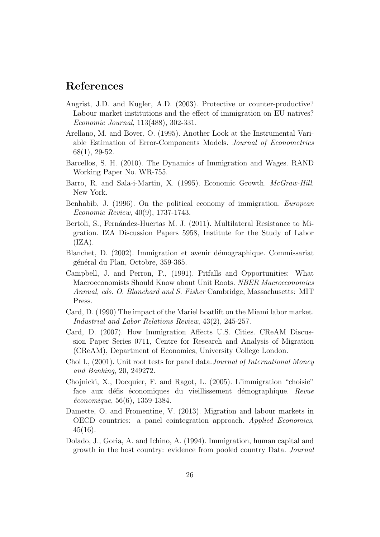## References

- Angrist, J.D. and Kugler, A.D. (2003). Protective or counter-productive? Labour market institutions and the effect of immigration on EU natives? Economic Journal, 113(488), 302-331.
- Arellano, M. and Bover, O. (1995). Another Look at the Instrumental Variable Estimation of Error-Components Models. Journal of Econometrics 68(1), 29-52.
- Barcellos, S. H. (2010). The Dynamics of Immigration and Wages. RAND Working Paper No. WR-755.
- Barro, R. and Sala-i-Martin, X. (1995). Economic Growth. *McGraw-Hill.* New York.
- Benhabib, J. (1996). On the political economy of immigration. European Economic Review, 40(9), 1737-1743.
- Bertoli, S., Fernández-Huertas M. J. (2011). Multilateral Resistance to Migration. IZA Discussion Papers 5958, Institute for the Study of Labor  $(IZA).$
- Blanchet, D. (2002). Immigration et avenir démographique. Commissariat général du Plan, Octobre, 359-365.
- Campbell, J. and Perron, P., (1991). Pitfalls and Opportunities: What Macroeconomists Should Know about Unit Roots. NBER Macroeconomics Annual, eds. O. Blanchard and S. Fisher Cambridge, Massachusetts: MIT Press.
- Card, D. (1990) The impact of the Mariel boatlift on the Miami labor market. Industrial and Labor Relations Review, 43(2), 245-257.
- Card, D. (2007). How Immigration Affects U.S. Cities. CReAM Discussion Paper Series 0711, Centre for Research and Analysis of Migration (CReAM), Department of Economics, University College London.
- Choi I., (2001). Unit root tests for panel data.Journal of International Money and Banking, 20, 249272.
- Chojnicki, X., Docquier, F. and Ragot, L. (2005). L'immigration "choisie" face aux défis économiques du vieillissement démographique. Revue  $économique, 56(6), 1359-1384.$
- Damette, O. and Fromentine, V. (2013). Migration and labour markets in OECD countries: a panel cointegration approach. Applied Economics,  $45(16)$ .
- Dolado, J., Goria, A. and Ichino, A. (1994). Immigration, human capital and growth in the host country: evidence from pooled country Data. Journal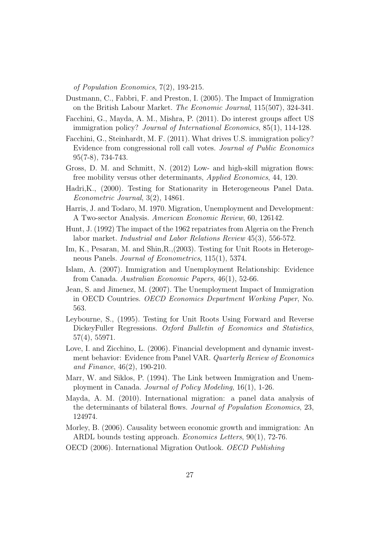of Population Economics, 7(2), 193-215.

- Dustmann, C., Fabbri, F. and Preston, I. (2005). The Impact of Immigration on the British Labour Market. The Economic Journal, 115(507), 324-341.
- Facchini, G., Mayda, A. M., Mishra, P. (2011). Do interest groups affect US immigration policy? *Journal of International Economics*, 85(1), 114-128.
- Facchini, G., Steinhardt, M. F. (2011). What drives U.S. immigration policy? Evidence from congressional roll call votes. Journal of Public Economics 95(7-8), 734-743.
- Gross, D. M. and Schmitt, N. (2012) Low- and high-skill migration flows: free mobility versus other determinants, Applied Economics, 44, 120.
- Hadri,K., (2000). Testing for Stationarity in Heterogeneous Panel Data. Econometric Journal, 3(2), 14861.
- Harris, J. and Todaro, M. 1970. Migration, Unemployment and Development: A Two-sector Analysis. American Economic Review, 60, 126142.
- Hunt, J. (1992) The impact of the 1962 repatriates from Algeria on the French labor market. Industrial and Labor Relations Review 45(3), 556-572.
- Im, K., Pesaran, M. and Shin, R., (2003). Testing for Unit Roots in Heterogeneous Panels. Journal of Econometrics, 115(1), 5374.
- Islam, A. (2007). Immigration and Unemployment Relationship: Evidence from Canada. Australian Economic Papers, 46(1), 52-66.
- Jean, S. and Jimenez, M. (2007). The Unemployment Impact of Immigration in OECD Countries. OECD Economics Department Working Paper, No. 563.
- Leybourne, S., (1995). Testing for Unit Roots Using Forward and Reverse DickeyFuller Regressions. Oxford Bulletin of Economics and Statistics, 57(4), 55971.
- Love, I. and Zicchino, L. (2006). Financial development and dynamic investment behavior: Evidence from Panel VAR. Quarterly Review of Economics and Finance, 46(2), 190-210.
- Marr, W. and Siklos, P. (1994). The Link between Immigration and Unemployment in Canada. Journal of Policy Modeling, 16(1), 1-26.
- Mayda, A. M. (2010). International migration: a panel data analysis of the determinants of bilateral flows. Journal of Population Economics, 23, 124974.
- Morley, B. (2006). Causality between economic growth and immigration: An ARDL bounds testing approach. *Economics Letters*, 90(1), 72-76.
- OECD (2006). International Migration Outlook. OECD Publishing